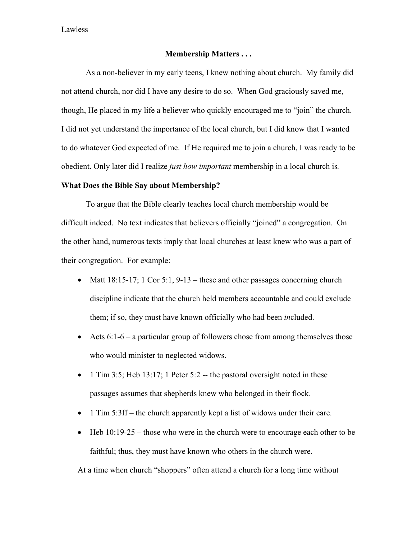Lawless

### **Membership Matters . . .**

 As a non-believer in my early teens, I knew nothing about church. My family did not attend church, nor did I have any desire to do so. When God graciously saved me, though, He placed in my life a believer who quickly encouraged me to "join" the church. I did not yet understand the importance of the local church, but I did know that I wanted to do whatever God expected of me. If He required me to join a church, I was ready to be obedient. Only later did I realize *just how important* membership in a local church is*.* 

### **What Does the Bible Say about Membership?**

 To argue that the Bible clearly teaches local church membership would be difficult indeed. No text indicates that believers officially "joined" a congregation. On the other hand, numerous texts imply that local churches at least knew who was a part of their congregation. For example:

- Matt  $18:15-17$ ; 1 Cor  $5:1$ ,  $9-13$  these and other passages concerning church discipline indicate that the church held members accountable and could exclude them; if so, they must have known officially who had been *in*cluded.
- Acts  $6:1-6$  a particular group of followers chose from among themselves those who would minister to neglected widows.
- 1 Tim 3:5; Heb 13:17; 1 Peter 5:2 -- the pastoral oversight noted in these passages assumes that shepherds knew who belonged in their flock.
- 1 Tim 5:3ff the church apparently kept a list of widows under their care.
- Heb 10:19-25 those who were in the church were to encourage each other to be faithful; thus, they must have known who others in the church were.

At a time when church "shoppers" often attend a church for a long time without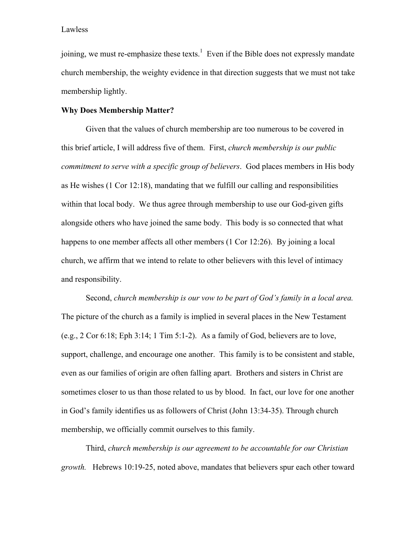joining, we must re-emphasize these texts.<sup>[1](#page-3-0)</sup> Even if the Bible does not expressly mandate church membership, the weighty evidence in that direction suggests that we must not take membership lightly.

## **Why Does Membership Matter?**

Given that the values of church membership are too numerous to be covered in this brief article, I will address five of them. First, *church membership is our public commitment to serve with a specific group of believers*. God places members in His body as He wishes (1 Cor 12:18), mandating that we fulfill our calling and responsibilities within that local body. We thus agree through membership to use our God-given gifts alongside others who have joined the same body. This body is so connected that what happens to one member affects all other members (1 Cor 12:26). By joining a local church, we affirm that we intend to relate to other believers with this level of intimacy and responsibility.

 Second, *church membership is our vow to be part of God's family in a local area.*  The picture of the church as a family is implied in several places in the New Testament (e.g.,  $2 \text{Cor } 6:18$ ; Eph  $3:14$ ; 1 Tim  $5:1-2$ ). As a family of God, believers are to love, support, challenge, and encourage one another. This family is to be consistent and stable, even as our families of origin are often falling apart. Brothers and sisters in Christ are sometimes closer to us than those related to us by blood. In fact, our love for one another in God's family identifies us as followers of Christ (John 13:34-35). Through church membership, we officially commit ourselves to this family.

 Third, *church membership is our agreement to be accountable for our Christian growth.* Hebrews 10:19-25, noted above, mandates that believers spur each other toward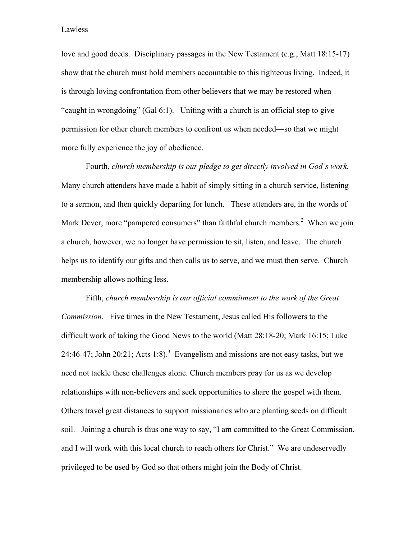Lawless

love and good deeds. Disciplinary passages in the New Testament (e.g., Matt 18:15-17) show that the church must hold members accountable to this righteous living. Indeed, it is through loving confrontation from other believers that we may be restored when "caught in wrongdoing" (Gal 6:1). Uniting with a church is an official step to give permission for other church members to confront us when needed—so that we might more fully experience the joy of obedience.

Fourth, *church membership is our pledge to get directly involved in God's work.*  Many church attenders have made a habit of simply sitting in a church service, listening to a sermon, and then quickly departing for lunch. These attenders are, in the words of Mark Dever, more "pampered consumers" than faithful church members. $2$  When we join a church, however, we no longer have permission to sit, listen, and leave. The church helps us to identify our gifts and then calls us to serve, and we must then serve. Church membership allows nothing less.

 Fifth, *church membership is our official commitment to the work of the Great Commission.* Five times in the New Testament, Jesus called His followers to the difficult work of taking the Good News to the world (Matt 28:18-20; Mark 16:15; Luke 24:46-47; John 20:21; Acts 1:8).<sup>[3](#page-3-2)</sup> Evangelism and missions are not easy tasks, but we need not tackle these challenges alone. Church members pray for us as we develop relationships with non-believers and seek opportunities to share the gospel with them. Others travel great distances to support missionaries who are planting seeds on difficult soil. Joining a church is thus one way to say, "I am committed to the Great Commission, and I will work with this local church to reach others for Christ." We are undeservedly privileged to be used by God so that others might join the Body of Christ.